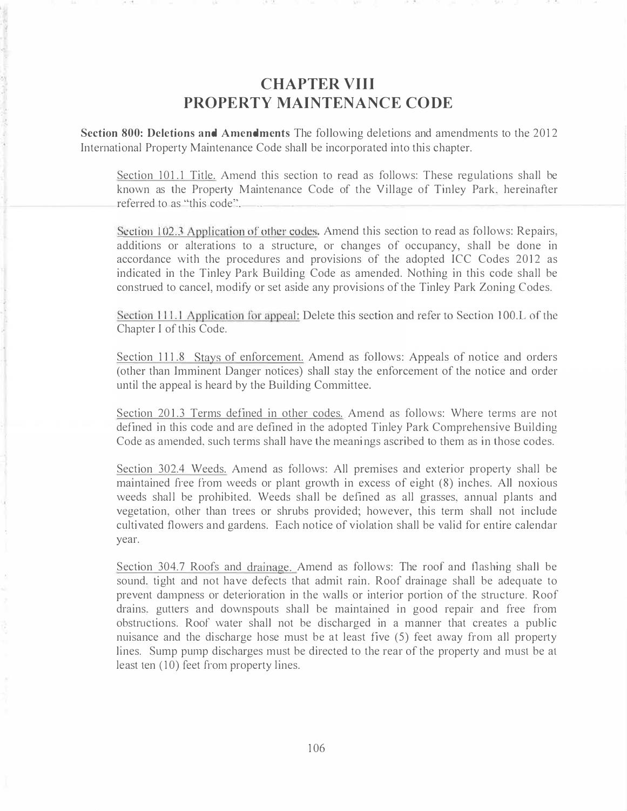## CHAPTER VIII PROPERTY MAINTENANCE CODE

Section 800: Deletions and Amendments The following deletions and amendments to the 2012 International Property Maintenance Code shall be incorporated into this chapter.

Section 101.1 Title. Amend this section to read as follows: These regulations shall be known as the Property Maintenance Code of the Village of Tinley Park, hereinafter referred to as "this code''.

Section 102.3 Application of other codes. Amend this section to read as follows: Repairs, additions or alterations to a structure, or changes of occupancy, shall be done in accordance with the procedures and provisions of the adopted ICC Codes 2012 as indicated in the Tinley Park Building Code as amended. Nothing in this code shall be construed to cancel, modify or set aside any provisions of the Tinley Park Zoning Codes.

Section 111.1 Application for appeal: Delete this section and refer to Section 100.L of the Chapter I of this Code.

Section 111.8 Stays of enforcement. Amend as follows: Appeals of notice and orders (other than Imminent Danger notices) shall stay the enforcement of the notice and order until the appeal is heard by the Building Committee.

Section 201.3 Terms defined in other codes. Amend as follows: Where terms are not defined in this code and are defined in the adopted Tinley Park Comprehensive Building Code as amended, such terms shall have the meanings ascribed to them as in those codes.

Section 302.4 Weeds. Amend as follows: All premises and exterior property shall be maintained free from weeds or plant growth in excess of eight (8) inches. All noxious weeds shall be prohibited. Weeds shall be defined as all grasses, annual plants and vegetation, other than trees or shrubs provided; however, this term shall not include cultivated flowers and gardens. Each notice of violation shall be valid for entire calendar year.

Section 304.7 Roofs and drainage. Amend as follows: The roof and flashing shall be sound, tight and not have defects that admit rain. Roof drainage shall be adequate to prevent dampness or deterioration in the walls or interior portion of the structure. Roof drains, gutters and downspouts shall be maintained in good repair and free from obstructions. Roof water shall not be discharged in a manner that creates a public nuisance and the discharge hose must be at least five (5) feet away from all property lines. Sump pump discharges must be directed to the rear of the property and must be at least ten (10) feet from property lines.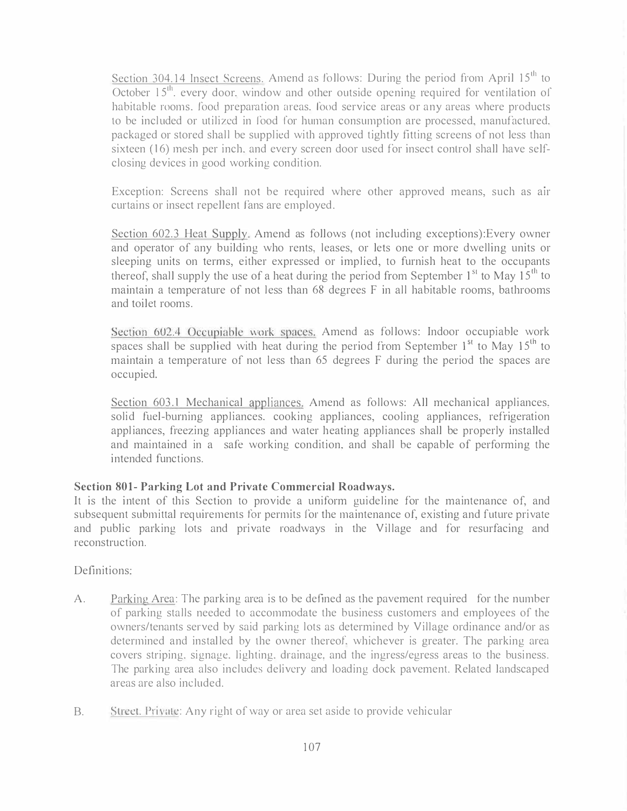Section 304.14 Insect Screens. Amend as follows: During the period from April  $15<sup>th</sup>$  to October 15<sup>th</sup>. every door, window and other outside opening required for ventilation of habitable rooms. food preparation areas. l'ood service areas or any areas where products to be included or utilized in food for human consumption are processed, manufactured. packaged or stored shall be supplied with approved tightly fitting screens of not less than sixteen (16) mesh per inch, and every screen door used for insect control shall have selfclosing devices in good working condition.

Exception: Screens shall not be required where other approved means, such as air curtains or insect repellent fans are employed .

Section 602.3 Heat Supply. Amend as follows (not including exceptions):Every owner and operator of any building who rents, leases, or lets one or more dwelling units or sleeping units on terms, either expressed or implied, to furnish heat to the occupants thereof, shall supply the use of a heat during the period from September  $1<sup>st</sup>$  to May  $15<sup>th</sup>$  to maintain a temperature of not less than  $68$  degrees  $F$  in all habitable rooms, bathrooms and toilet rooms.

Section 602.4 Occupiable work spaces. Amend as follows: Indoor occupiable work spaces shall be supplied with heat during the period from September  $1^{st}$  to May  $15^{th}$  to maintain a temperature of not less than 65 degrees F during the period the spaces are occupied.

Section 603.1 Mechanical appliances. Amend as follows: All mechanical appliances, solid fuel-burning appliances. cooking appliances, cooling appliances, refrigeration appliances, freezing appliances and water heating appliances shall be properly installed and maintained in a safe working condition, and shall be capable of performing the intended functions.

## Section 801- Parking Lot and Private Commercial Roadways.

It is the intent of this Section to provide a uniform guideline for the maintenance of, and subsequent submittal requirements for permits for the maintenance of, existing and future private and public parking lots and private roadways in the Village and for resurfacing and reconstruction.

## Definitions:

- A. Parking Area: The parking area is to be defined as the pavement required for the number of parking stalls needed to accommodate the business customers and employees of the owners/tenants served by said parking lots as determined by Village ordinance and/or as determined and installed by the owner thereof, whichever is greater. The parking area covers striping, signage. lighting, drainage, and the ingress/egress areas to the business. The parking area also includes delivery and loading dock pavement. Related landscaped areas are also inc luded.
- B. Street. Private: Any right of way or area set aside to provide vehicular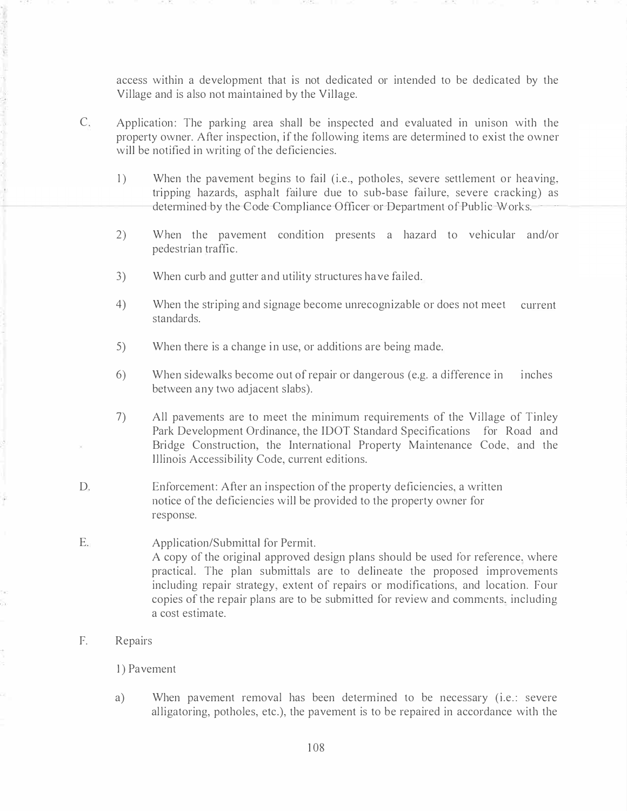access within a development that is not dedicated or intended to be dedicated by the Village and is also not maintained by the Village.

- C. Application: The parking area shall be inspected and evaluated in unison with the property owner. After inspection, if the following items are determined to exist the owner will be notified in writing of the deficiencies.
	- 1) When the pavement begins to fail (i.e., potholes, severe settlement or heaving, tripping hazards, asphalt failure due to sub-base failure, severe cracking) as determined by the Code Compliance Officer or Department of Public Works;
	- 2) When the pavement condition presents a hazard to vehicular and/or pedestrian traffic.
	- 3) When curb and gutter and utility structures have failed.
	- 4) When the striping and signage become unrecognizable or does not meet current standards.
	- 5) When there is a change in use, or additions are being made.
	- 6) When sidewalks become out of repair or dangerous (e.g. a difference in between any two adjacent slabs). i nches
	- 7) All pavements are to meet the minimum requirements of the Village of Tinley Park Development Ordinance, the IDOT Standard Specifications for Road and Bridge Construction, the International Property Maintenance Code, and the Illinois Accessibility Code, current editions.
- D. Enforcement: After an inspection of the property deficiencies, a written notice of the deficiencies will be provided to the property owner for response.

#### E. Application/Submittal for Permit. A copy of the original approved design plans should be used for reference. where practical . The plan submittals are to delineate the proposed improvements including repair strategy, extent of repairs or modifications, and location. Four copies of the repair plans are to be submitted for review and comments. including a cost estimate.

#### F. Repairs

#### 1) Pavement

a) When pavement removal has been determined to be necessary (i.e.: severe alligatoring, potholes, etc.), the pavement is to be repaired in accordance with the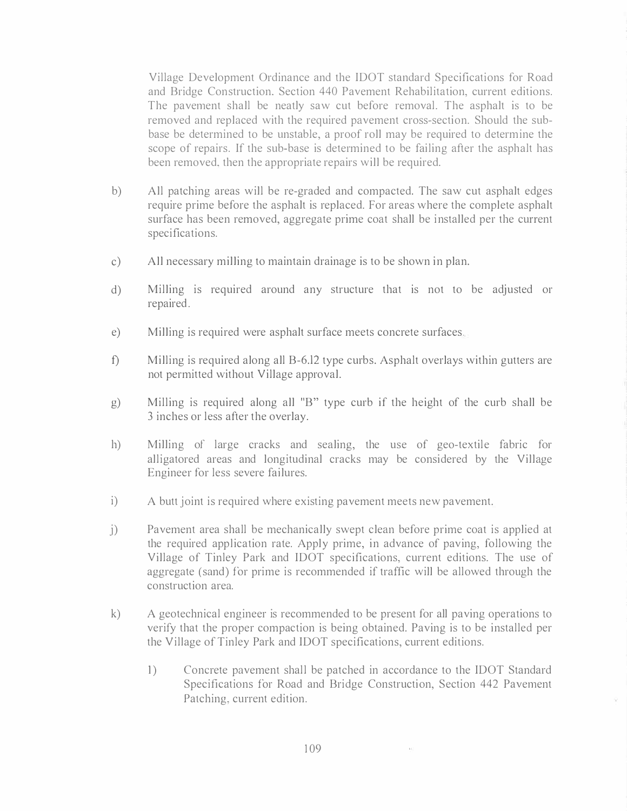Village Development Ordinance and the IDOT standard Specifications for Road and Bridge Construction. Section 440 Pavement Rehabilitation, current editions. The pavement shall be neatly saw cut before removal. The asphalt is to be removed and replaced with the required pavement cross-section. Should the subbase be determined to be unstable, a proof roll may be required to determine the scope of repairs. If the sub-base is determined to be failing after the asphalt has been removed. then the appropriate repairs will be required.

- b) All patching areas will be re-graded and compacted. The saw cut asphalt edges require prime before the asphalt is replaced. For areas where the complete asphalt surface has been removed, aggregate prime coat shall be installed per the current specifications.
- c) All necessary milling to maintain drainage is to be shown in plan.
- d) Milling is required around any structure that is not to be adjusted or repaired .
- e) Milling is required were asphalt surface meets concrete surfaces.
- f) Milling is required along all B-6.12 type curbs. Asphalt overlays within gutters are not permitted without Village approval.
- g) Mill ing is required along all "B" type curb if the height of the curb shall be 3 inches or less after the overlay.
- h) Milling of large cracks and sealing, the use of geo-textile fabric for alligatored areas and longitudinal cracks may be considered by the Village Engineer for less severe failures.
- i) A butt joint is required where existing pavement meets new pavement.
- j) Pavement area shall be mechanically swept clean before prime coat is applied at the required application rate. Apply prime, in advance of paving, following the Village of Tinley Park and IDOT specifications, current editions. The use of aggregate (sand) for prime is recommended if traffic will be allowed through the construction area.
- k) A geotechnical engineer is recommended to be present for all paving operations to verify that the proper compaction is being obtained. Paving is to be installed per the Village of Tinley Park and IDOT specifications, current editions.
	- 1) Concrete pavement shall be patched in accordance to the IDOT Standard Specifications for Road and Bridge Construction, Section 442 Pavement Patching, current edition.

 $\sim$  100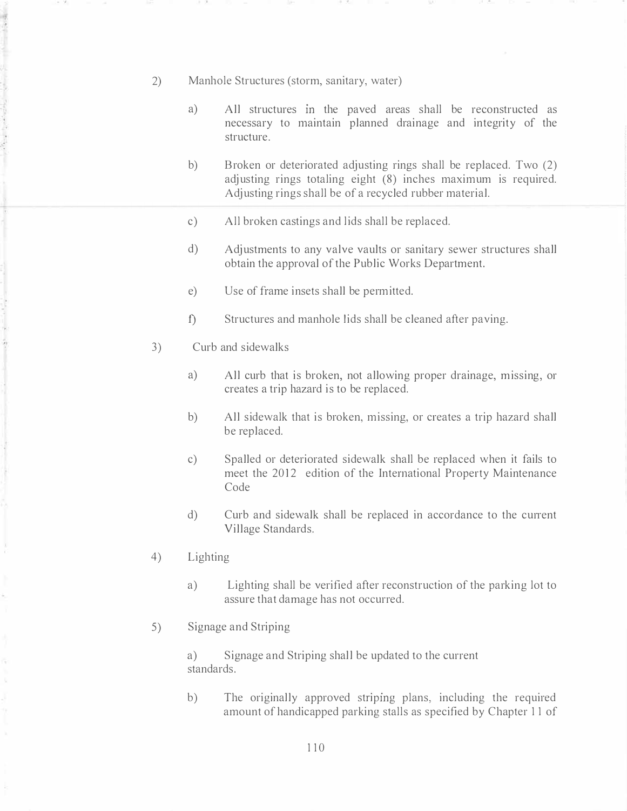- 2) Manhole Structures (storm, sanitary, water)
	- a) All structures in the paved areas shall be reconstructed as necessary to maintain planned drainage and integrity of the structure.
	- b) Broken or deteriorated adjusting rings shall be replaced. Two (2) adjusting rings totaling eight (8) inches maximum is required. Adjusting rings shall be of a recycled rubber material.
	- c) All broken castings and lids shall be replaced.
	- d) Adjustments to any valve vaults or sanitary sewer structures shall obtain the approval of the Public Works Department.
	- e) Use of frame insets shall be permitted.
	- f) Structures and manhole lids shall be cleaned after paving.
- 3) Curb and sidewalks

. . ,

r,

- a) All curb that is broken, not allowing proper drainage, missing, or creates a trip hazard is to be replaced.
- b) All sidewalk that is broken, missing, or creates a trip hazard shall be replaced.
- c) Spalled or deteriorated sidewalk shall be replaced when it fails to meet the 2012 edition of the International Property Maintenance Code
- d) Curb and sidewalk shall be replaced in accordance to the current Village Standards.
- 4) Lighting
	- a) Lighting shall be verified after reconstruction of the parking lot to assure that damage has not occurred.
- 5) Signage and Striping

a) Signage and Striping shall be updated to the current standards.

b) The originally approved striping plans, including the required amount of handicapped parking stalls as specified by Chapter 11 of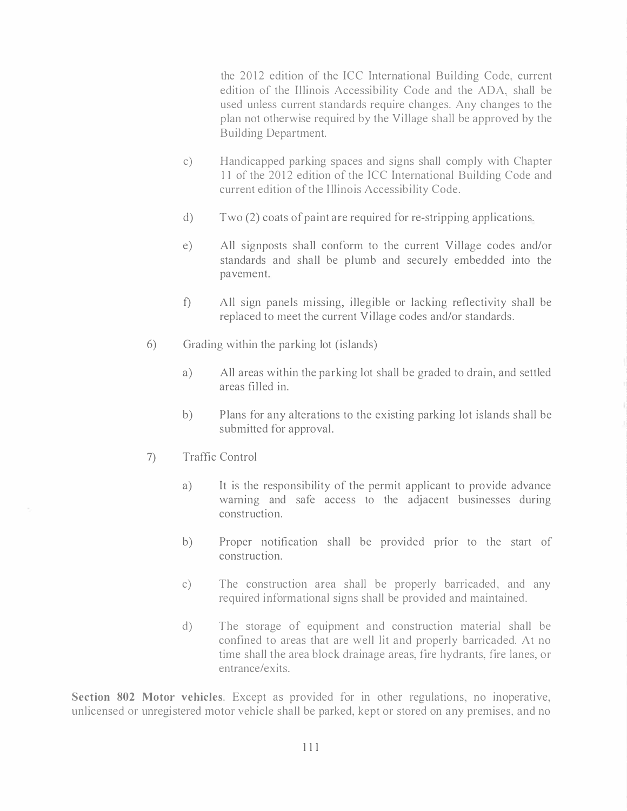the 2012 edition of the ICC International Building Code, current edition of the Illinois Accessibility Code and the ADA, shall be used unless current standards require changes. Any changes to the plan not otherwise required by the Village shall be approved by the Building Department.

- c) Handicapped parking spaces and signs shall comply with Chapter 11 of the 2012 edition of the ICC International Building Code and current edition of the Illinois Accessibility Code.
- d) Two (2) coats of paint are required for re-stripping applications.
- e) All signposts shall conform to the current Village codes and/or standards and shall be plumb and securely embedded into the pavement.
- f) All sign panels missing, illegible or lacking reflectivity shall be replaced to meet the current Village codes and/or standards.
- 6) Grading within the parking lot (islands)
	- a) All areas within the parking lot shall be graded to drain, and settled areas filled in.
	- b) Plans for any alterations to the existing parking lot islands shall be submitted for approval.
- 7) Traffic Control
	- a) It is the responsibility of the permit applicant to provide advance warning and safe access to the adjacent businesses during construction.
	- b) Proper notification shall be provided prior to the start of construction.
	- c) The construction area shall be properly barricaded, and any required informational signs shall be provided and maintained.
	- d) The storage of equipment and construction material shall be confined to areas that are well lit and properly barricaded. At no time shall the area block drainage areas, fire hydrants, fire lanes, or entrance/exits.

Section 802 Motor vehicles. Except as provided for in other regulations, no inoperative, unlicensed or unregistered motor vehicle shall be parked, kept or stored on any premises, and no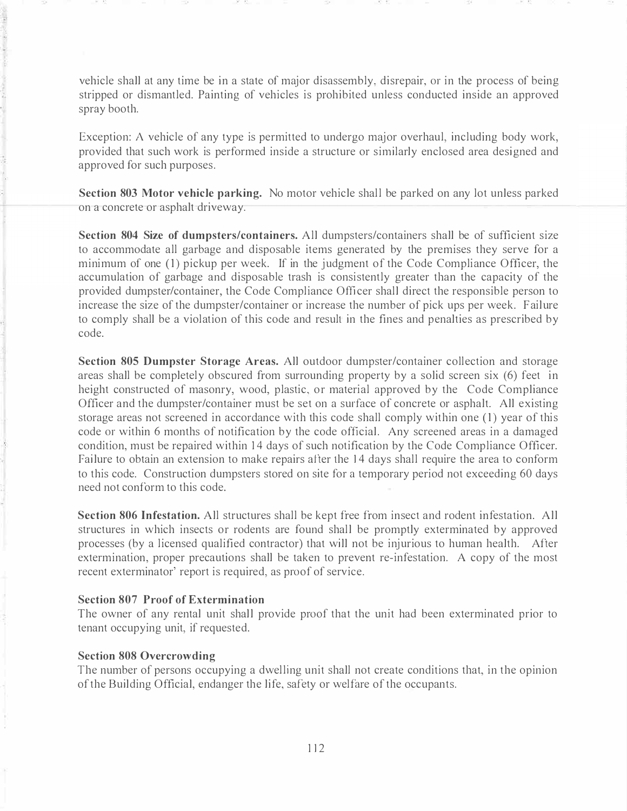vehicle shall at any time be in a state of major disassembly, disrepair, or in the process of being stripped or dismantled. Painting of vehicles is prohibited unless conducted inside an approved spray booth.

Exception: A vehicle of any type is permitted to undergo major overhaul, including body work, provided that such work is performed inside a structure or similarly enclosed area designed and approved for such purposes.

Section 803 Motor vehicle parking. No motor vehicle shall be parked on any lot unless parked on a concrete or asphalt driveway.

Section 804 Size of dumpsters/containers. All dumpsters/containers shall be of sufficient size to accommodate all garbage and disposable items generated by the premises they serve for a minimum of one (1) pickup per week. If in the judgment of the Code Compliance Officer, the accumulation of garbage and disposable trash is consistently greater than the capacity of the provided dumpster/container, the Code Compliance Officer shall direct the responsible person to increase the size of the dumpster/container or increase the number of pick ups per week. Failure to comply shall be a violation of this code and result in the fines and penalties as prescribed by code.

Section 805 Dumpster Storage Areas. All outdoor dumpster/container collection and storage areas shall be completely obscured from surrounding property by a solid screen six (6) feet in height constructed of masonry, wood, plastic, or material approved by the Code Compliance Officer and the dumpster/container must be set on a surface of concrete or asphalt. All existing storage areas not screened in accordance with this code shall comply within one (1) year of this code or within 6 months of notification by the code official. Any screened areas in a damaged condition, must be repaired within 14 days of such notification by the Code Compliance Officer. Failure to obtain an extension to make repairs after the 14 days shall require the area to conform to this code. Construction dumpsters stored on site for a temporary period not exceeding 60 days need not conform to this code.

Section 806 Infestation. All structures shall be kept free from insect and rodent infestation. All structures in which insects or rodents are found shall be promptly exterminated by approved processes (by a licensed qualified contractor) that will not be injurious to human health. After extermination, proper precautions shall be taken to prevent re-infestation. A copy of the most recent exterminator' report is required, as proof of service.

#### Section 807 Proof of Extermination

The owner of any rental unit shall provide proof that the unit had been exterminated prior to tenant occupying unit, if requested.

#### Section 808 Overcrowding

The number of persons occupying a dwelling unit shall not create conditions that, in the opinion of the Building Official, endanger the life, safety or welfare of the occupants.